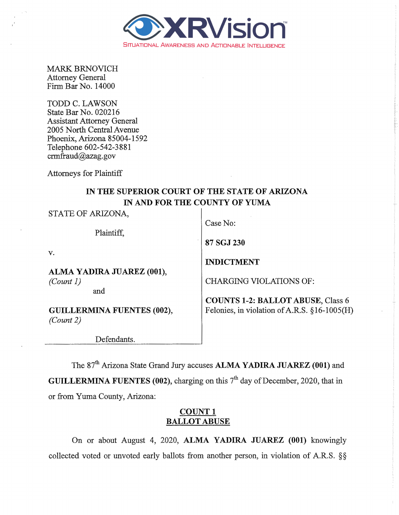

MARK BRNOVICH Attorney General Finn Bar No. 14000

TODD C. LAWSON State Bar No. 020216 Assistant Attorney General 2005 North Central Avenue Phoenix, Arizona 85004-1592 Telephone 602-542-3881 crmfraud@azag.gov

Attorneys for Plaintiff

## IN THE SUPERIOR COURT OF THE STATE OF ARIZONA IN AND FOR THE COUNTY OF YUMA

| STATE OF ARIZONA,                 | Case No:                                     |
|-----------------------------------|----------------------------------------------|
| Plaintiff,                        |                                              |
|                                   | 87 SGJ 230                                   |
| v.                                |                                              |
|                                   | <b>INDICTMENT</b>                            |
| ALMA YADIRA JUAREZ (001),         |                                              |
| (Count 1)                         | <b>CHARGING VIOLATIONS OF:</b>               |
| and                               |                                              |
|                                   | <b>COUNTS 1-2: BALLOT ABUSE, Class 6</b>     |
| <b>GUILLERMINA FUENTES (002),</b> | Felonies, in violation of A.R.S. §16-1005(H) |
| (Count 2)                         |                                              |
|                                   |                                              |
| Defendants.                       |                                              |

The 87<sup>th</sup> Arizona State Grand Jury accuses **ALMA YADIRA JUAREZ (001)** and GUILLERMINA FUENTES (002), charging on this  $7<sup>th</sup>$  day of December, 2020, that in or from Yuma County, Arizona:

## COUNT<sub>1</sub> BALLOT ABUSE

On or about August 4, 2020, ALMA YADIRA JUAREZ (001) knowingly collected voted or unvoted early ballots from another person, in violation of A.R.S. §§